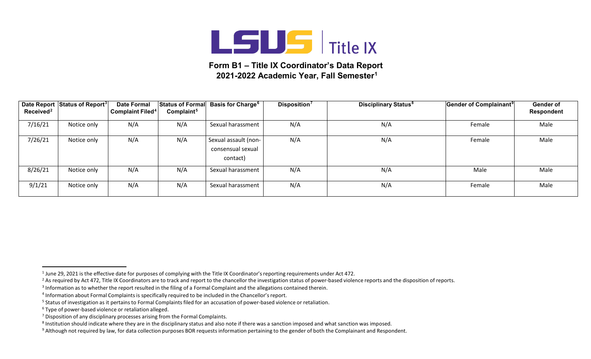

## **Form B1 – Title IX Coordinator's Data Report 2021-2022 Academic Year, Fall Semester1**

| Received <sup>2</sup> | Date Report Status of Report <sup>3</sup> | <b>Date Formal</b><br><b>Complaint Filed<sup>4</sup></b> | <b>Status of Formal</b><br>Complaint <sup>5</sup> | <b>Basis for Charge<sup>6</sup></b>                   | Disposition <sup>7</sup> | <b>Disciplinary Status<sup>8</sup></b> | Gender of Complainant <sup>9</sup> | Gender of<br>Respondent |
|-----------------------|-------------------------------------------|----------------------------------------------------------|---------------------------------------------------|-------------------------------------------------------|--------------------------|----------------------------------------|------------------------------------|-------------------------|
| 7/16/21               | Notice only                               | N/A                                                      | N/A                                               | Sexual harassment                                     | N/A                      | N/A                                    | Female                             | Male                    |
| 7/26/21               | Notice only                               | N/A                                                      | N/A                                               | Sexual assault (non-<br>consensual sexual<br>contact) | N/A                      | N/A                                    | Female                             | Male                    |
| 8/26/21               | Notice only                               | N/A                                                      | N/A                                               | Sexual harassment                                     | N/A                      | N/A                                    | Male                               | Male                    |
| 9/1/21                | Notice only                               | N/A                                                      | N/A                                               | Sexual harassment                                     | N/A                      | N/A                                    | Female                             | Male                    |

<sup>&</sup>lt;sup>1</sup> June 29, 2021 is the effective date for purposes of complying with the Title IX Coordinator's reporting requirements under Act 472.

<sup>&</sup>lt;sup>2</sup> As required by Act 472, Title IX Coordinators are to track and report to the chancellor the investigation status of power-based violence reports and the disposition of reports.

<sup>&</sup>lt;sup>3</sup> Information as to whether the report resulted in the filing of a Formal Complaint and the allegations contained therein.

<sup>&</sup>lt;sup>4</sup> Information about Formal Complaints is specifically required to be included in the Chancellor's report.

<sup>&</sup>lt;sup>5</sup> Status of investigation as it pertains to Formal Complaints filed for an accusation of power-based violence or retaliation.

<sup>6</sup> Type of power-based violence or retaliation alleged.

 $<sup>7</sup>$  Disposition of any disciplinary processes arising from the Formal Complaints.</sup>

<sup>&</sup>lt;sup>8</sup> Institution should indicate where they are in the disciplinary status and also note if there was a sanction imposed and what sanction was imposed.

 $9$  Although not required by law, for data collection purposes BOR requests information pertaining to the gender of both the Complainant and Respondent.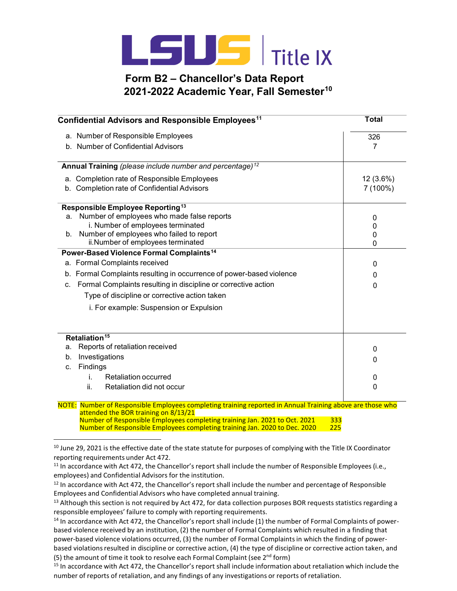

## **Form B2 – Chancellor's Data Report 2021-2022 Academic Year, Fall Semester10**

| Confidential Advisors and Responsible Employees <sup>11</sup> | <b>Total</b>                                                                  |        |  |  |  |  |
|---------------------------------------------------------------|-------------------------------------------------------------------------------|--------|--|--|--|--|
| a. Number of Responsible Employees                            | 326                                                                           |        |  |  |  |  |
|                                                               | b. Number of Confidential Advisors                                            |        |  |  |  |  |
|                                                               | Annual Training (please include number and percentage) <sup>12</sup>          |        |  |  |  |  |
| a. Completion rate of Responsible Employees                   | 12 (3.6%)                                                                     |        |  |  |  |  |
|                                                               | b. Completion rate of Confidential Advisors                                   |        |  |  |  |  |
| Responsible Employee Reporting <sup>13</sup>                  |                                                                               |        |  |  |  |  |
| a.                                                            | Number of employees who made false reports                                    | 0      |  |  |  |  |
|                                                               | i. Number of employees terminated                                             | 0      |  |  |  |  |
| $b_{\cdot}$                                                   | Number of employees who failed to report<br>ii.Number of employees terminated | 0<br>0 |  |  |  |  |
|                                                               | Power-Based Violence Formal Complaints <sup>14</sup>                          |        |  |  |  |  |
| a. Formal Complaints received                                 |                                                                               | 0      |  |  |  |  |
|                                                               | b. Formal Complaints resulting in occurrence of power-based violence          | 0      |  |  |  |  |
| C.                                                            | Formal Complaints resulting in discipline or corrective action                | 0      |  |  |  |  |
|                                                               | Type of discipline or corrective action taken                                 |        |  |  |  |  |
|                                                               | i. For example: Suspension or Expulsion                                       |        |  |  |  |  |
|                                                               |                                                                               |        |  |  |  |  |
| Retaliation <sup>15</sup>                                     |                                                                               |        |  |  |  |  |
| Reports of retaliation received<br>a.                         | 0                                                                             |        |  |  |  |  |
| Investigations<br>b.                                          | 0                                                                             |        |  |  |  |  |
| Findings<br>C.                                                |                                                                               |        |  |  |  |  |
| İ.                                                            | Retaliation occurred                                                          | 0      |  |  |  |  |
| ii.                                                           | Retaliation did not occur                                                     | 0      |  |  |  |  |

 NOTE: Number of Responsible Employees completing training reported in Annual Training above are those who attended the BOR training on 8/13/21 Number of Responsible Employees completing training Jan. 2021 to Oct. 2021 333<br>Number of Responsible Employees completing training Jan. 2020 to Dec. 2020 225 Number of Responsible Employees completing training Jan. 2020 to Dec. 2020

 $10$  June 29, 2021 is the effective date of the state statute for purposes of complying with the Title IX Coordinator reporting requirements under Act 472.

 $11$  In accordance with Act 472, the Chancellor's report shall include the number of Responsible Employees (i.e., employees) and Confidential Advisors for the institution.

<sup>&</sup>lt;sup>12</sup> In accordance with Act 472, the Chancellor's report shall include the number and percentage of Responsible Employees and Confidential Advisors who have completed annual training.

 $13$  Although this section is not required by Act 472, for data collection purposes BOR requests statistics regarding a responsible employees' failure to comply with reporting requirements.

 $14$  In accordance with Act 472, the Chancellor's report shall include (1) the number of Formal Complaints of powerbased violence received by an institution, (2) the number of Formal Complaints which resulted in a finding that power-based violence violations occurred, (3) the number of Formal Complaintsin which the finding of powerbased violations resulted in discipline or corrective action, (4) the type of discipline or corrective action taken, and (5) the amount of time it took to resolve each Formal Complaint (see  $2^{nd}$  form)

<sup>&</sup>lt;sup>15</sup> In accordance with Act 472, the Chancellor's report shall include information about retaliation which include the number of reports of retaliation, and any findings of any investigations or reports of retaliation.